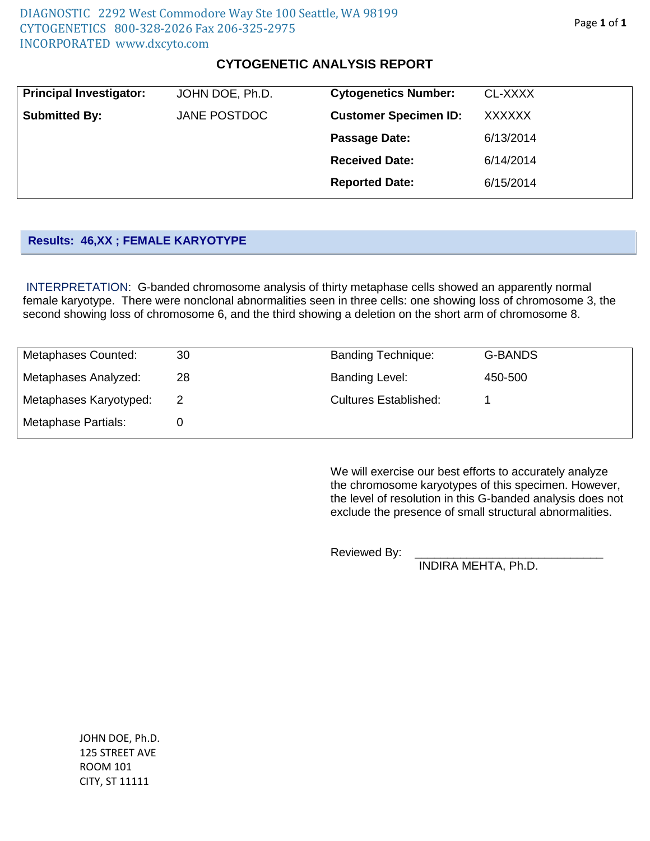## **CYTOGENETIC ANALYSIS REPORT**

| <b>Principal Investigator:</b> | JOHN DOE, Ph.D. | <b>Cytogenetics Number:</b>  | CL-XXXX       |
|--------------------------------|-----------------|------------------------------|---------------|
| <b>Submitted By:</b>           | JANE POSTDOC    | <b>Customer Specimen ID:</b> | <b>XXXXXX</b> |
|                                |                 | Passage Date:                | 6/13/2014     |
|                                |                 | <b>Received Date:</b>        | 6/14/2014     |
|                                |                 | <b>Reported Date:</b>        | 6/15/2014     |
|                                |                 |                              |               |

## **Results: 46,XX ; FEMALE KARYOTYPE**

INTERPRETATION: G-banded chromosome analysis of thirty metaphase cells showed an apparently normal female karyotype. There were nonclonal abnormalities seen in three cells: one showing loss of chromosome 3, the second showing loss of chromosome 6, and the third showing a deletion on the short arm of chromosome 8.

| Metaphases Counted:    | 30 | <b>Banding Technique:</b>    | <b>G-BANDS</b> |
|------------------------|----|------------------------------|----------------|
| Metaphases Analyzed:   | 28 | <b>Banding Level:</b>        | 450-500        |
| Metaphases Karyotyped: |    | <b>Cultures Established:</b> |                |
| Metaphase Partials:    |    |                              |                |

We will exercise our best efforts to accurately analyze the chromosome karyotypes of this specimen. However, the level of resolution in this G-banded analysis does not exclude the presence of small structural abnormalities.

Reviewed By:

INDIRA MEHTA, Ph.D.

JOHN DOE, Ph.D. 125 STREET AVE ROOM 101 CITY, ST 11111